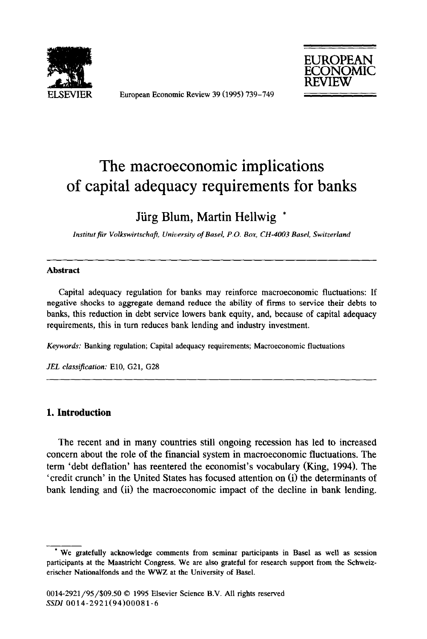

European Economic Review 39 (1995) 739-749



# The macroeconomic implications of capital adequacy requirements for banks

## Jürg Blum, Martin Hellwig \*

*lnstitat fir Volkswirtschafi University of Easel, P.O. Box, CH-4003 Basel, Switzerland* 

#### **Abstract**

Capital adequacy regulation for banks may reinforce macroeconomic fluctuations: If negative shocks to aggregate demand reduce the ability of firms to service their debts to banks, this reduction in debt service lowers bank equity, and, because of capital adequacy requirements, this in turn reduces bank lending and industry investment.

*Keywords:* Banking regulation; Capital adequacy requirements; Macroeconomic fluctuations

*JEL classification:* ElO, G21, G28

#### **1. Introduction**

The recent and in many countries still ongoing recession has led to increased concern about the role of the financial system in macroeconomic fluctuations. The term 'debt deflation' has reentered the economist's vocabulary (King, 1994). The 'credit crunch' in the United States has focused attention on (i) the determinants of bank lending and (ii) the macroeconomic impact of the decline in bank lending.

<sup>&</sup>lt;sup>\*</sup> We gratefully acknowledge comments from seminar participants in Basel as well as session participants at the Maastricht Congress. We are also grateful for research support from the Schweizerischer Nationalfonds and the WWZ at the University of Basel.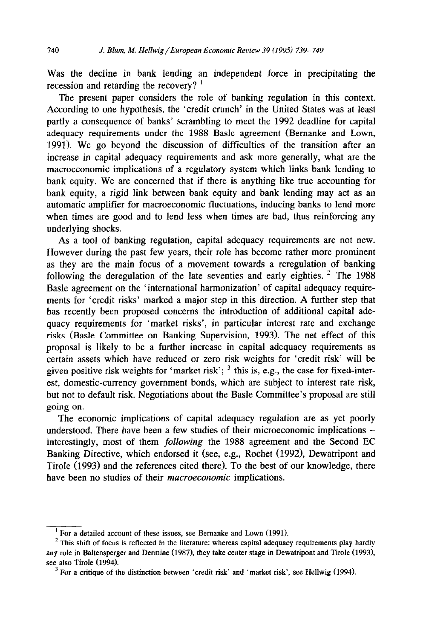Was the decline in bank lending an independent force in precipitating the recession and retarding the recovery? '

The present paper considers the role of banking regulation in this context. According to one hypothesis, the 'credit crunch' in the United States was at least partly a consequence of banks' scrambling to meet the 1992 deadline for capital adequacy requirements under the 1988 Basle agreement (Bernanke and Lown, 1991). We go beyond the discussion of difficulties of the transition after an increase in capital adequacy requirements and ask more generally, what are the macroeconomic implications of a regulatory system which links bank lending to bank equity. We are concerned that if there is anything like true accounting for bank equity, a rigid link between bank equity and bank lending may act as an automatic amplifier for macroeconomic fluctuations, inducing banks to lend more when times are good and to lend less when times are bad, thus reinforcing any underlying shocks.

As a tool of banking regulation, capital adequacy requirements are not new. However during the past few years, their role has become rather more prominent as they are the main focus of a movement towards a reregulation of banking following the deregulation of the late seventies and early eighties. <sup>2</sup> The 1988 Basle agreement on the 'international harmonization' of capital adequacy requirements for 'credit risks' marked a major step in this direction. A further step that has recently been proposed concerns the introduction of additional capital adequacy requirements for 'market risks', in particular interest rate and exchange risks (Basle Committee on Banking Supervision, 1993). The net effect of this proposal is likely to be a further increase in capital adequacy requirements as certain assets which have reduced or zero risk weights for 'credit risk' will be given positive risk weights for 'market risk';  $3$  this is, e.g., the case for fixed-interest, domestic-currency government bonds, which are subject to interest rate risk, but not to default risk. Negotiations about the Basle Committee's proposal are still going on.

The economic implications of capital adequacy regulation are as yet poorly understood. There have been a few studies of their microeconomic implications interestingly, most of them following the 1988 agreement and the Second EC Banking Directive, which endorsed it (see, e.g., Rochet (1992), Dewatripont and Tirole (1993) and the references cited there). To the best of our knowledge, there have been no studies of their *macroeconomic* implications.

<sup>&#</sup>x27; For a detailed account of these issues, see Bernanke and Lown (1991).

 $2$  This shift of focus is reflected in the literature: whereas capital adequacy requirements play hardly any role in Baltensperger and Dermine (1987), they take center stage in Dewatripont and Tirole (1993), see also Tirole (1994).

 $3$  For a critique of the distinction between 'credit risk' and 'market risk', see Hellwig (1994).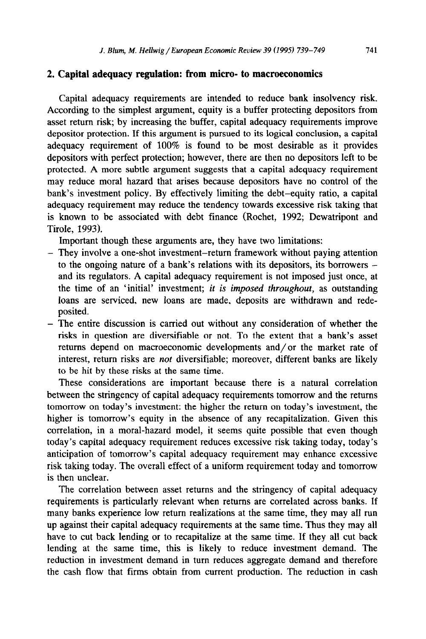#### **2. Capital adequacy regulation: from micro- to macroeconomics**

Capital adequacy requirements are intended to reduce bank insolvency risk. According to the simplest argument, equity is a buffer protecting depositors from asset return risk, by increasing the buffer, capital adequacy requirements improve depositor protection. If this argument is pursued to its logical conclusion, a capital adequacy requirement of 100% is found to be most desirable as it provides depositors with perfect protection; however, there are then no depositors left to be protected. A more subtle argument suggests that a capital adequacy requirement may reduce moral hazard that arises because depositors have no control of the bank's investment policy. By effectively limiting the debt-equity ratio, a capital adequacy requirement may reduce the tendency towards excessive risk taking that is known to be associated with debt finance (Rochet, 1992; Dewatripont and Tirole, 1993).

Important though these arguments are, they have two limitations:

- They involve a one-shot investment-return framework without paying attention to the ongoing nature of a bank's relations with its depositors, its borrowers and its regulators. A capital adequacy requirement is not imposed just once, at the time of an 'initial' investment; *it is imposed throughout,* as outstanding loans are serviced, new loans are made, deposits are withdrawn and redeposited.
- The entire discussion is carried out without any consideration of whether the risks in question are diversifiable or not. To the extent that a bank's asset returns depend on macroeconomic developments and/or the market rate of interest, return risks are *not* diversifiable; moreover, different banks are likely to be hit by these risks at the same time.

These considerations are important because there is a natural correlation between the stringency of capital adequacy requirements tomorrow and the returns tomorrow on today's investment: the higher the return on today's investment, the higher is tomorrow's equity in the absence of any recapitalization. Given this correlation, in a moral-hazard model, it seems quite possible that even though today's capital adequacy requirement reduces excessive risk taking today, today's anticipation of tomorrow's capital adequacy requirement may enhance excessive risk taking today. The overall effect of a uniform requirement today and tomorrow is then unclear.

The correlation between asset returns and the stringency of capital adequacy requirements is particularly relevant when returns are correlated across banks. If many banks experience low return realizations at the same time, they may all run up against their capital adequacy requirements at the same time. Thus they may all have to cut back lending or to recapitalize at the same time. If they all cut back lending at the same time, this is likely to reduce investment demand. The reduction in investment demand in turn reduces aggregate demand and therefore the cash flow that firms obtain from current production. The reduction in cash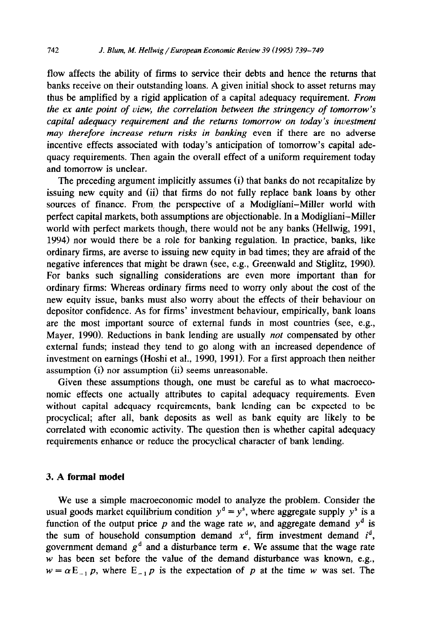flow affects the ability of firms to service their debts and hence the returns that banks receive on their outstanding loans. A given initial shock to asset returns may thus be amplified by a rigid application of a capital adequacy requirement. *From the ex ante point of view, the correlation between the stringency of tomorrow's capital adequacy requirement and the returns tomorrow on today's investment may therefore increase return risks in banking* even if there are no adverse incentive effects associated with today's anticipation of tomorrow's capital adequacy requirements. Then again the overall effect of a uniform requirement today and tomorrow is unclear.

The preceding argument implicitly assumes (i) that banks do not recapitalize by issuing new equity and (ii) that firms do not fully replace bank loans by other sources of finance. From, the perspective of a Modigliani-Miller world with perfect capital markets, both assumptions are objectionable. In a Modigliani-Miller world with perfect markets though, there would not be any banks (Hellwig, 1991, 1994) nor would there be a role for banking regulation. In practice, banks, like ordinary firms, are averse to issuing new equity in bad times; they are afraid of the negative inferences that might be drawn (see, e.g., Greenwald and Stiglitz, 1990). For banks such signalling considerations are even more important than for ordinary firms: Whereas ordinary firms need to worry only about the cost of the new equity issue, banks must also worry about the effects of their behaviour on depositor confidence. As for firms' investment behaviour, empirically, bank loans are the most important source of external funds in most countries (see, e.g., Mayer, 1990). Reductions in bank lending are usually *not* compensated by other external funds; instead they tend to go along with an increased dependence of investment on earnings (Hoshi et al., 1990, 1991). For a first approach then neither assumption (i) nor assumption (ii) seems unreasonable.

Given these assumptions though, one must be careful as to what macroeconomic effects one actually attributes to capital adequacy requirements. Even without capital adequacy requirements, bank lending can be expected to be procyclical; after all, bank deposits as well as bank equity are likely to be correlated with economic activity. The question then is whether capital adequacy requirements enhance or reduce the procyclical character of bank lending.

#### 3. A **formal model**

We use a simple macroeconomic model to analyze the problem. Consider the usual goods market equilibrium condition  $y^d = y^s$ , where aggregate supply  $y^s$  is a function of the output price  $p$  and the wage rate  $w$ , and aggregate demand  $y<sup>d</sup>$  is the sum of household consumption demand  $x^d$ , firm investment demand  $i^d$ , government demand  $g<sup>d</sup>$  and a disturbance term  $\epsilon$ . We assume that the wage rate  $w$  has been set before the value of the demand disturbance was known, e.g.,  $w = \alpha E_{-1} p$ , where  $E_{-1} p$  is the expectation of p at the time w was set. The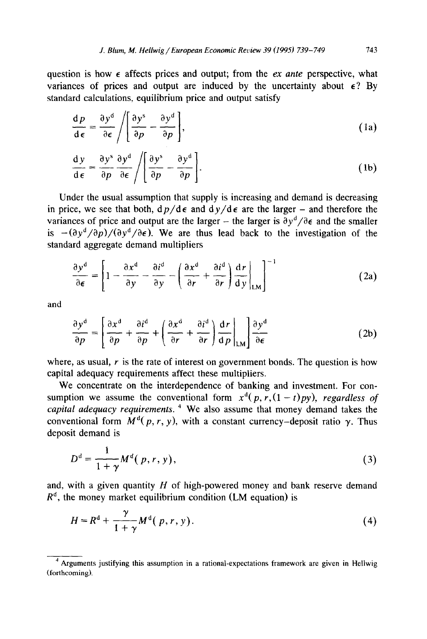question is how  $\epsilon$  affects prices and output; from the *ex ante* perspective, what variances of prices and output are induced by the uncertainty about  $\epsilon$ ? By standard calculations, equilibrium price and output satisfy

$$
\frac{\mathrm{d}p}{\mathrm{d}\epsilon} = \frac{\partial y^{\mathrm{d}}}{\partial \epsilon} / \left[ \frac{\partial y^{\mathrm{s}}}{\partial p} - \frac{\partial y^{\mathrm{d}}}{\partial p} \right],\tag{1a}
$$

$$
\frac{dy}{d\epsilon} = \frac{\partial y^s}{\partial p} \frac{\partial y^d}{\partial \epsilon} / \left[ \frac{\partial y^s}{\partial p} - \frac{\partial y^d}{\partial p} \right].
$$
 (1b)

Under the usual assumption that supply is increasing and demand is decreasing in price, we see that both,  $dp/d\epsilon$  and  $dy/d\epsilon$  are the larger – and therefore the variances of price and output are the larger – the larger is  $\partial y^d / \partial \epsilon$  and the smaller is  $-(\partial y^d/\partial p)/(\partial y^d/\partial \epsilon)$ . We are thus lead back to the investigation of the standard aggregate demand multipliers

$$
\frac{\partial y^d}{\partial \epsilon} = \left[1 - \frac{\partial x^d}{\partial y} - \frac{\partial i^d}{\partial y} - \left(\frac{\partial x^d}{\partial r} + \frac{\partial i^d}{\partial r}\right) \frac{d r}{dy}\Big|_{LM}\right]^{-1}
$$
(2a)

and

$$
\frac{\partial y^d}{\partial p} = \left[ \frac{\partial x^d}{\partial p} + \frac{\partial i^d}{\partial p} + \left( \frac{\partial x^d}{\partial r} + \frac{\partial i^d}{\partial r} \right) \frac{dr}{dp} \bigg|_{LM} \right] \frac{\partial y^d}{\partial \epsilon}
$$
(2b)

where, as usual,  $r$  is the rate of interest on government bonds. The question is how capital adequacy requirements affect these multipliers.

We concentrate on the interdependence of banking and investment. For consumption we assume the conventional form  $x^d(p, r, (1-t)py)$ , *regardless of capital adequacy requirements. 4* We also assume that money demand takes the conventional form  $M^{d}(p, r, y)$ , with a constant currency-deposit ratio  $\gamma$ . Thus deposit demand is

$$
D^d = \frac{1}{1+\gamma} M^d(p,r,y),\tag{3}
$$

and, with a given quantity *H* of high-powered money and bank reserve demand  $R<sup>d</sup>$ , the money market equilibrium condition (LM equation) is

$$
H = Rd + \frac{\gamma}{1 + \gamma} Md(p, r, y).
$$
 (4)

<sup>&</sup>lt;sup>4</sup> Arguments justifying this assumption in a rational-expectations framework are given in Hellwig (forthcoming).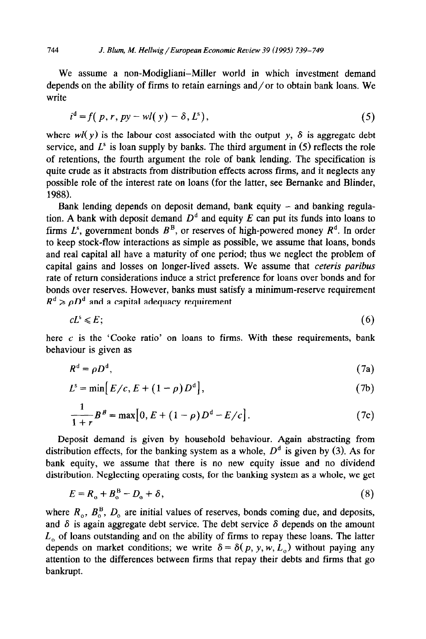We assume a non-Modigliani-Miller world in which investment demand depends on the ability of firms to retain earnings and/or to obtain bank loans. We write

$$
id = f(p, r, py - wl(y) - \delta, Ls),
$$
\n(5)

where  $wl(y)$  is the labour cost associated with the output y,  $\delta$  is aggregate debt service, and  $L^s$  is loan supply by banks. The third argument in  $(5)$  reflects the role of retentions, the fourth argument the role of bank lending. The specification is quite crude as it abstracts from distribution effects across firms, and it neglects any possible role of the interest rate on loans (for the latter, see Bernanke and Blinder, 1988).

Bank lending depends on deposit demand, bank equity  $-$  and banking regulation. A bank with deposit demand  $D<sup>d</sup>$  and equity  $E$  can put its funds into loans to firms  $L^s$ , government bonds  $B^B$ , or reserves of high-powered money  $R^d$ . In order to keep stock-flow interactions as simple as possible, we assume that loans, bonds and real capital all have a maturity of one period; thus we neglect the problem of capital gains and losses on longer-lived assets. We assume that *ceteris paribus*  rate of return considerations induce a strict preference for loans over bonds and for bonds over reserves. However, banks must satisfy a minimum-reserve requirement  $R^d \geq \rho D^d$  and a capital adequacy requirement

$$
cL^{s} \leqslant E;
$$
 (6)

here  $c$  is the 'Cooke ratio' on loans to firms. With these requirements, bank behaviour is given as

$$
R^d = \rho D^d, \tag{7a}
$$

$$
L^{s} = \min[E/c, E + (1 - \rho)D^{d}], \qquad (7b)
$$

$$
\frac{1}{1+r}B^B = \max[0, E + (1-\rho)D^d - E/c].
$$
 (7c)

Deposit demand is given by household behaviour. Again abstracting from distribution effects, for the banking system as a whole,  $D<sup>d</sup>$  is given by (3). As for bank equity, we assume that there is no new equity issue and no dividend distribution. Neglecting operating costs, for the banking system as a whole, we get

$$
E = R_o + B_o^B - D_o + \delta, \qquad (8)
$$

where  $R_0$ ,  $B_0^B$ ,  $D_0$  are initial values of reserves, bonds coming due, and deposits, and  $\delta$  is again aggregate debt service. The debt service  $\delta$  depends on the amount  $L<sub>o</sub>$  of loans outstanding and on the ability of firms to repay these loans. The latter depends on market conditions; we write  $\delta = \delta(p, y, w, L_{o})$  without paying any attention to the differences between firms that repay their debts and firms that go bankrupt.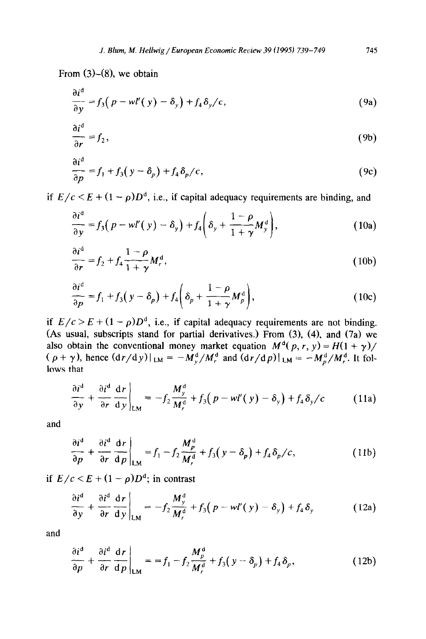From  $(3)-(8)$ , we obtain

$$
\frac{\partial i^d}{\partial y} = f_3(p - w l'(y) - \delta_y) + f_4 \delta_y / c, \qquad (9a)
$$

$$
\frac{\partial i^d}{\partial r} = f_2,\tag{9b}
$$

$$
\frac{\partial i^d}{\partial p} = f_1 + f_3(y - \delta_p) + f_4 \delta_p / c, \qquad (9c)
$$

if  $E/c \leq E + (1 - \rho)D^d$ , i.e., if capital adequacy requirements are binding, and

$$
\frac{\partial i^d}{\partial y} = f_3(p - wI'(y) - \delta_y) + f_4\left(\delta_y + \frac{1 - \rho}{1 + \gamma}M_y^d\right),\tag{10a}
$$

$$
\frac{\partial i^{\mathfrak{a}}}{\partial r} = f_2 + f_4 \frac{1 - \rho}{1 + \gamma} M_r^{\mathfrak{a}},\tag{10b}
$$

$$
\frac{\partial i^d}{\partial p} = f_1 + f_3(y - \delta_p) + f_4 \left( \delta_p + \frac{1 - \rho}{1 + \gamma} M_p^d \right),\tag{10c}
$$

if  $E/c > E + (1 - \rho)D^d$ , i.e., if capital adequacy requirements are not binding. (As usual, subscripts stand for partial derivatives.) From (3), (4), and (7a) we also obtain the conventional money market equation  $M^{q}(p, r, y) = H(1 + \gamma)$  $((\rho + \gamma)$ , hence  $(\frac{dr}{dy})|_{LM} = -M_y^d/M_r^d$  and  $(\frac{dr}{dy})|_{LM} = -M_y^d/M_r^d$ . It follows that

$$
\frac{\partial i^{\mathsf{d}}}{\partial y} + \frac{\partial i^{\mathsf{d}}}{\partial r} \frac{\mathsf{d}r}{\mathsf{d}y}\bigg|_{LM} = -f_2 \frac{M_y^{\mathsf{d}}}{M_r^{\mathsf{d}}} + f_3\big(p - w l'(y) - \delta_y\big) + f_4 \delta_y/c \tag{11a}
$$

and

$$
\frac{\partial i^d}{\partial p} + \frac{\partial i^d}{\partial r} \frac{dr}{dp} \bigg|_{LM} = f_1 - f_2 \frac{M_p^d}{M_r^d} + f_3(y - \delta_p) + f_4 \delta_p / c, \qquad (11b)
$$

if  $E/c < E + (1 - \rho)D^{d}$ ; in contrast

$$
\frac{\partial i^d}{\partial y} + \frac{\partial i^d}{\partial r} \frac{dr}{dy}\bigg|_{LM} = -f_2 \frac{M_y^d}{M_r^d} + f_3(p - wl'(y) - \delta_y) + f_4 \delta_y \qquad (12a)
$$

and

$$
\frac{\partial i^{\mathfrak{a}}}{\partial p} + \frac{\partial i^{\mathfrak{a}}}{\partial r} \frac{\mathrm{d}r}{\mathrm{d}p} \bigg|_{\mathrm{LM}} = = f_1 - f_2 \frac{M_p^{\mathfrak{a}}}{M_r^{\mathfrak{a}}} + f_3(y - \delta_p) + f_4 \delta_p, \tag{12b}
$$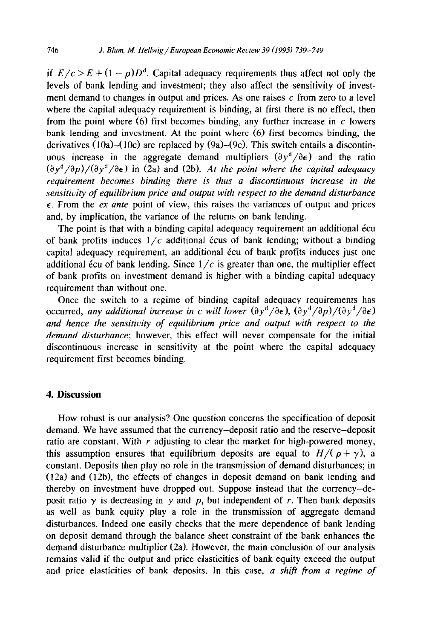if  $E/c > E + (1 - \rho)D^d$ . Capital adequacy requirements thus affect not only the levels of bank lending and investment; they also affect the sensitivity of investment demand to changes in output and prices. As one raises  $c$  from zero to a level where the capital adequacy requirement is binding, at first there is no effect, then from the point where  $(6)$  first becomes binding, any further increase in c lowers bank lending and investment. At the point where (6) first becomes binding, the derivatives  $(10a)$ - $(10c)$  are replaced by  $(9a)$ - $(9c)$ . This switch entails a discontinuous increase in the aggregate demand multipliers  $(\partial y^d / \partial \epsilon)$  and the ratio  $(\partial y^d / \partial p) / (\partial y^d / \partial \epsilon)$  in (2a) and (2b). At the point where the capital adequacy *requirement becomes binding there is thus a discontinuous increase in the sensitivity of equilibrium price and output with respect to the demand disturbance E.* From the ex *ante* point of view, this raises the variances of output and prices and, by implication, the variance of the returns on bank lending.

The point is that with a binding capital adequacy requirement an additional écu of bank profits induces  $1/c$  additional écus of bank lending; without a binding capital adequacy requirement, an additional écu of bank profits induces just one additional écu of bank lending. Since  $1/c$  is greater than one, the multiplier effect of bank profits on investment demand is higher with a binding capital adequacy requirement than without one.

Once the switch to a regime of binding capital adequacy requirements has occurred, *any additional increase in c will lower*  $(\partial y^d / \partial \epsilon)$ ,  $(\partial y^d / \partial p) / (\partial y^d / \partial \epsilon)$ *and hence the sensitivity of equilibrium price and output with respect to the demand disturbance;* however, this effect will never compensate for the initial discontinuous increase in sensitivity at the point where the capital adequacy requirement first becomes binding.

### 4. **Discussion**

How robust is our analysis? One question concerns the specification of deposit demand. We have assumed that the currency-deposit ratio and the reserve-deposit ratio are constant. With  $r$  adjusting to clear the market for high-powered money, this assumption ensures that equilibrium deposits are equal to  $H/(\rho + \gamma)$ , a constant. Deposits then play no role in the transmission of demand disturbances; in (12a) and (12b), the effects of changes in deposit demand on bank lending and thereby on investment have dropped out. Suppose instead that the currency-deposit ratio  $\gamma$  is decreasing in y and p, but independent of r. Then bank deposits as well as bank equity play a role in the transmission of aggregate demand disturbances. Indeed one easily checks that the mere dependence of bank lending on deposit demand through the balance sheet constraint of the bank enhances the demand disturbance multiplier (2a). However, the main conclusion of our analysis remains valid if the output and price elasticities of bank equity exceed the output and price elasticities of bank deposits. In this case, a *shift from a regime of*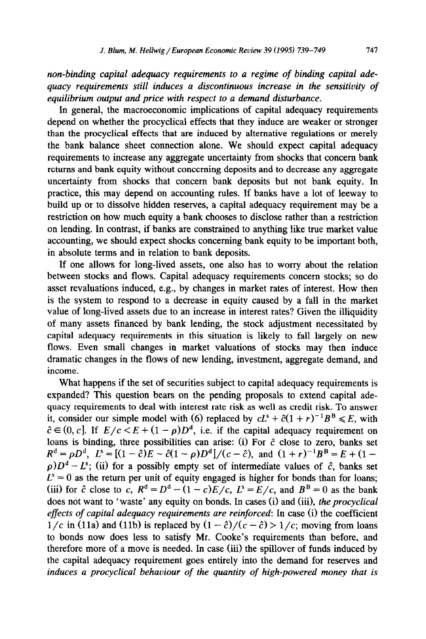*non-binding capital adequacy requirements to a regime of binding capital adequacy requirements still induces a discontinuous increase in the sensitivity of equilibrium output and price with respect to a demand disturbance.* 

In general, the macroeconomic implications of capital adequacy requirements depend on whether the procyclical effects that they induce are weaker or stronger than the procyclical effects that are induced by alternative regulations or merely the bank balance sheet connection alone. We should expect capital adequacy requirements to increase any aggregate uncertainty from shocks that concern bank returns and bank equity without concerning deposits and to decrease any aggregate uncertainty from shocks that concern bank deposits but not bank equity. In practice, this may depend on accounting rules. If banks have a lot of leeway to build up or to dissolve hidden reserves, a capital adequacy requirement may be a restriction on how much equity a bank chooses to disclose rather than a restriction on lending. In contrast, if banks are constrained to anything like true market value accounting, we should expect shocks concerning bank equity to be important both, in absolute terms and in relation to bank deposits.

If one allows for long-lived assets, one also has to worry about the relation between stocks and flows. Capital adequacy requirements concern stocks; so do asset revaluations induced, e.g., by changes in market rates of interest. How then is the system to respond to a decrease in equity caused by a fall in the market value of long-lived assets due to an increase in interest rates? Given the illiquidity of many assets financed by bank lending, the stock adjustment necessitated by capital adequacy requirements in this situation is likely to fall largely on new flows. Even small changes in market valuations of stocks may then induce dramatic changes in the flows of new lending, investment, aggregate demand, and income.

What happens if the set of securities subject to capital adequacy requirements is expanded? This question bears on the pending proposals to extend capital adequacy requirements to deal with interest rate risk as well as credit risk. To answer it, consider our simple model with (6) replaced by  $cL^s + \hat{c}(1+r)^{-1}B^B \le E$ , with  $\hat{c} \in (0, c]$ . If  $E/c < E + (1 - \rho)D^d$ , i.e. if the capital adequacy requirement on loans is binding, three possibilities can arise: (i) For  $\hat{c}$  close to zero, banks set  $R^{d} = \rho D^{d}$ ,  $L^{s} = [(1 - \hat{c})E - \hat{c}(1 - \rho)D^{d}]/(c - \hat{c})$ , and  $(1 + r)^{-1}B^{B} = E + (1 \rho$ ) $D^{d} - L^{s}$ ; (ii) for a possibly empty set of intermediate values of  $\hat{c}$ , banks set  $L<sup>s</sup> = 0$  as the return per unit of equity engaged is higher for bonds than for loans; (iii) for  $\hat{c}$  close to c,  $R^d = D^d - (1 - c)E/c$ ,  $L^s = E/c$ , and  $B^B = 0$  as the bank does not want to 'waste' any equity on bonds. In cases (i) and (iii), *the procyclical effects of capital adequacy requirements are reinforced:* In case (i) the coefficient  $1/c$  in (11a) and (11b) is replaced by  $(1 - \hat{c})/(c - \hat{c}) > 1/c$ ; moving from loans to bonds now does less to satisfy Mr. Cooke's requirements than before, and therefore more of a move is needed. In case (iii) the spillover of funds induced by the capital adequacy requirement goes entirely into the demand for reserves and *induces a procyclical behaviour of the quantity of high-powered money that is*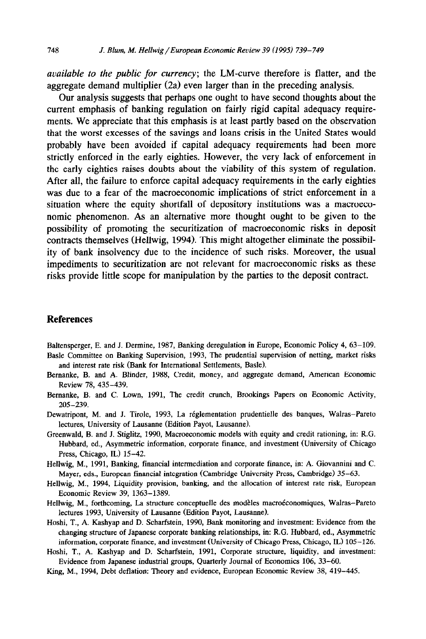*available to the public for currency;* the LM-curve therefore is flatter, and the aggregate demand multiplier (2a) even larger than in the preceding analysis.

Our analysis suggests that perhaps one ought to have second thoughts about the current emphasis of banking regulation on fairly rigid capital adequacy requirements. We appreciate that this emphasis is at least partly based on the observation that the worst excesses of the savings and loans crisis in the United States would probably have been avoided if capital adequacy requirements had been more strictly enforced in the early eighties. However, the very lack of enforcement in the early eighties raises doubts about the viability of this system of regulation. After all, the failure to enforce capital adequacy requirements in the early eighties was due to a fear of the macroeconomic implications of strict enforcement in a situation where the equity shortfall of depository institutions was a macroeconomic phenomenon. As an alternative more thought ought to be given to the possibility of promoting the securitization of macroeconomic risks in deposit contracts themselves (Hellwig, 1994). This might altogether eliminate the possibility of bank insolvency due to the incidence of such risks. Moreover, the usual impediments to securitization are not relevant for macroeconomic risks as these risks provide little scope for manipulation by the parties to the deposit contract.

#### **References**

Bahensperger, E. and J. Dermine, 1987, Banking deregulation in Europe, Economic Policy 4, 63-109. Basle Committee on Banking Supervision, 1993, The prudential supervision of netting, market risks and interest rate risk (Bank for International Settlements, Basle).

- Bemanke, B. and A. Blinder, 1988, Credit, money, and aggregate demand, American Economic Review 78, 435-439.
- Bernanke, B. and C. Lown, 1991, The credit crunch, Brookings Papers on Economic Activity, 205-239.
- Dewatripont, M. and J. Tirole, 1993, La reglementation prudentielle des banques, Walras-Pareto lectures, University of Lausanne (Edition Payot, Lausanne).
- Greenwald, B. and J. Stightz, 1990, Macroeconomic models with equity and credit rationing, in: R.G. Hubbard, ed., Asymmetric information, corporate finance, and investment (University of Chicago Press, Chicago, IL) 15-42.
- Hellwig, M., 1991, Banking, financial intermediation and corporate finance, in: A. Giovannini and C. Mayer, eds., European financial integration (Cambridge University Press, Cambridge) 35-63.
- Hellwig, M., 1994, Liquidity provision, banking, and the allocation of interest rate risk, European Economic Review 39, 1363-1389.
- Hellwig, M., forthcoming, La structure conceptuelle des modèles macroéconomiques, Walras-Pareto lectures 1993, University of Lausanne (Edition Payot, Lausanne).
- Hoshi, T., A. Kashyap and D. Scharfstein, 1990, Bank monitoring and investment: Evidence from the changing structure of Japanese corporate banking relationships, in: R.G. Hubbard, ed., Asymmetric information, corporate finance, and investment (University of Chicago Press, Chicago, IL) 105-126.
- Hoshi, T., A. Kashyap and D. Scharfstein, 1991, Corporate structure, liquidity, and investment: Evidence from Japanese industrial groups, Quarterly Journal of Economics 106, 33-60.
- King, M., 1994, Debt deflation: Theory and evidence, European Economic Review 38, 419-445.